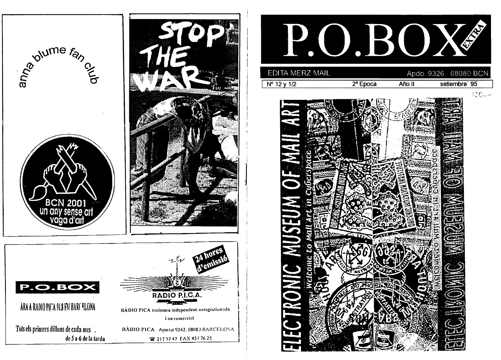

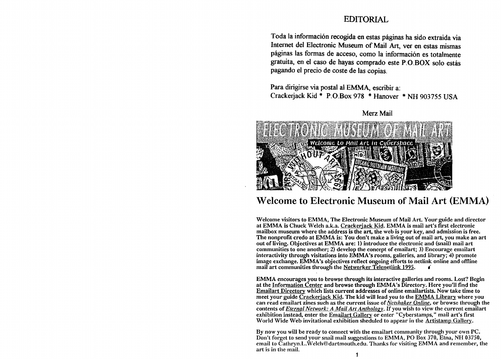## EDITORIAL

Toda la información recogida en estas páginas ha sido extraida via Internet del Electronic Museum of Mail **Art,** ver en estas mismas páginas las formas de acceso, como la información es totalmente gratuita, en el caso de hayas comprado este P.O.BOX solo estás pagando el precio de coste de las copias.

Para dirigirse via postal al EMMA, escribir a: Cracke rjack Kid \* P.O.Box **978** \* Hanover \* **NH 903755 USA** 



Merz Mail

## Welcome to Electronic Museum of Mail Art (EMMA)

Welcome visitors to EMMA, The Electronic Museum of Mail Art. Your guide and director at EMMA is Chuck Welch a.k.a. Crackerjack Kid. EMMA is mail art's first electronic mailbox museum where the address is the art, the web is your key, and admission is free. The nonprofit credo at EMMA is: You don't make a living out of mail art, you make an art out of iiving. Objectives at EMMA are: 1) introduce the electronic and (snail) mail art communities to one another; 2) develop the concept of emailart; 3) Encourage emailart interactivity through visitations into EMMA's rooms, gaileries, and iibrary; **4)** promote irnage exchange. EMMA's objectives reflect ongoing efforts to netlink online and offline mail art communities through the Networker Telenetlink 1995.

EMMA encourages you to browse through its interactive galleries and rooms. Lost? Begin at the Information Center and browse through EMMA's Directory. Here you'll tind the Emailart Directorv which iists current addresses of oniine emaiiartists. Now take time to meet your guide Crackeriack Kid. The kid will lead you to the EMMA Library where you can read emailart zines such as the current issue of *Netshaker Online*, or browse through the contents of *Eiernal Network: A Mail Art Anthology*. If you wish to view the current emailart exhibition instead, enter the Emailart Gallery or enter "Cyberstamps," mail art's first World Wide Web invitational exhibition sheduled to appear in the Artistamp Gallery.

By now you **will** be ready to connect witli the emailart community through your own PC. Don't forget to send your snail mail suggestions to EMMA, PO Box 370, Etna, NH 03750, cmail to Cathryn.L.Welch@dartmouth.edu. Thanks for visiting EMMA and remember, the art is in the mail. **1**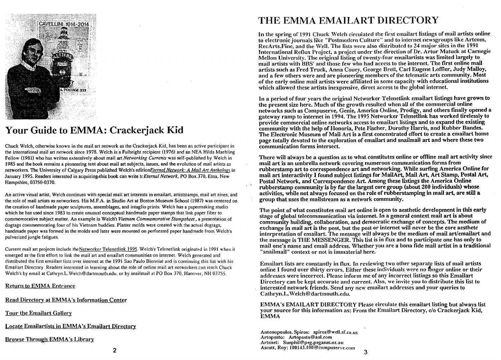

# **Your Guide to EMMA: Crackerjack Kid**

Chuck Welch. othenvise known in the mail art network as the Crackerjack Kid. has been an active participant in the international mail art network since 1978. Welch is a Fulbright recipient (1976) and an **NEA** Hilda Maehling Fellow (1981) who has written extensively about mail **art** *Nefworking Currenfs* was self-published by Welch in 1985 and the book remains a pioneering text about mail *art* subjects. issues. and the evolution of mail artists as networkers. The University of Calgary Press published Welch's editionEtema1 *Nefwork: A Mail* **Arf** *Antholoel* in January 1995. Readers interested in acquiring-this book can write t( *Eternal Network*, PO Box 370, Etna, New Hampshire, 03750-0370.

An active visual artist. Welch continues with special mail art interests in emailart. artiststamps. mail art zines, and the tole of mail artists as networkers. His M.F.A. in Studio Art at Boston Museum School (1987) was centered on the creation of handmade paper sculptures, assemblages. and intaglio prints. Welch has a papemaking studio which he has used since 1983 to create unusual conceptual handmade paper stamps that link paper fiber to commemorative subject matter. An example is Welch'5 *Viemarn Commemorative Stampsheet* . a presentation of dogtags commemorating four of his Vietnam buddies. Plaster molds were created with the actual dogtags, handmade paper was formed in the molds and later were mounted on perforated paper handrnade from Welch's pulverized jungle fatigues.

Current mail art projects include the Networker Telenetlink 1995. Welch's Telenetlink originated in 1991 when it emerged as the first effort to link the mail art and emailart communities on internet. Welch generated and distributed the first emailart lists over internet at the 1991 Sao Paulo Biennial and is continuing this list wiih his Ernailart Directory. Readers interested in learning about the tole of online mail art networkers can reach Chuck Welch's by ernail at Cathryn.L.Welch@dartrnouth.edu. or by snailmail at PO Box 370. Hanover. NH **03755.** 

**Return to EMMA Entrance** 

Read Directory at EMMA's Information Center

Tour the Emailart Gallery

Locate Emailartists in EMMA's Emailart Directory

## Browse Through EMMA's Library

# THE EMMA EMAILART DIRECTORY

In the spring of 1991 Chuck Welch circulated the first emailart listings of mail artists online to electronic journals like "Postmodern Culture" and to internet newsgroups like Artcom, RecArts. Fine, and the Well. The lists were also distributed to 24 major sites in the 1991 International Reflux Project, a project under the direction of Dr. Artur Matuck at Carnegie Mellon University. The original listing of twenty-four emailartists was limited largely to mail artists with BBS' and those few who had access to the internet. The first online mail artists such as Fred Truck, Anna Couey, George Brett, Carl Eugene Loffler, Judy Malloy, and a few others were and are pioneering members of the telematic arts community. Most of the early online mail artists were affiliated in some capacity with educational institutions which allowed these artists inexpensive, direct access to the global internet.

In a period of four years the original Networker Telenetlink emailart listings have grown to the present size here. Much of the growth resulted when all of the commercial online networks such as Compuserve, Genie, America Online, Prodigy, and others finally opened a gateway ramp to internet in **1994.** The **1995** Networker Telenetlink has worked tirelessly to provide commercial onlirie networks access to emailart iistings and to expand the existing community with the help of Honoria, Pete Fischer, Dorothy Harris, and Rubber Bandes. The Electronic Museum of Mail Art is a first concentrated effort to create a emailart home page totally devoted to tlie exploration of emailart and snailmail art and where these two communication forms intersect.

There **wiU** always be a question as to what constitutes online or offline mail art activity since mail art **is** an umbrella network covering numerous communication forms from rubberstamp art to correspondence art and networking. While surfing America Online for mail art interactivity **1** found subject listings for MailArt, Mail **Art,** Art Stamp, Postal **Art,**  Postal Network, and Correspondence Art. Among these listings the America Online rubberstamp community **is** by far **the** largest core group (about 200 individuals) whose activities, whiie not always focused on the role of rubberstamping in mail art, are **still** a group that uses the mailstream as a network community.

Tlie point of what constitutes mail art online is open to aesthetic development in this early stage of global telecommunication via internet. In a general context mail art is about community building, collaboration, and democratic exchange of concepts. The medium of exchange in mail art is the post, but the post or internet will never be the core aesthetc interpretation of emailart. The message will always be the medium of mail art/emailart and the message is THE MESSENGER. This list is in flux and to participate one has only to mail one's name and email address. Whether you are a bona fide mail artist in a traditional "snailmail" context or not is immaterial here.

Emailart lists are constantly in flux. In reviewing two other separate lists of mail artists online I found over thirty errors. Either these individuals were no longer online or their addresses were incorrect. Please inform me of any incorrect listings so this Emailart Directory can be kept accurate and current. Also, we invite you to distribute this list to interested network friends. Send any new eniailart addresses and your queries to Cathryn.L.Welch@dartmouth.edu.

EMMA's EMAILART DIRECTORY Please circulate this emailart listing but always list your source for this information as: From the Emailart Directory, c/o Crackerjack Kid, EMMA

Antonopoulos, Spiros: spiros@well.sf.ca.us Artoposto: Artoposto@aol.com Artsnet: **Suephil@peg.pegasus.oz.au**  kscott, Roy: **100143.100@cornpuserve.ccirn**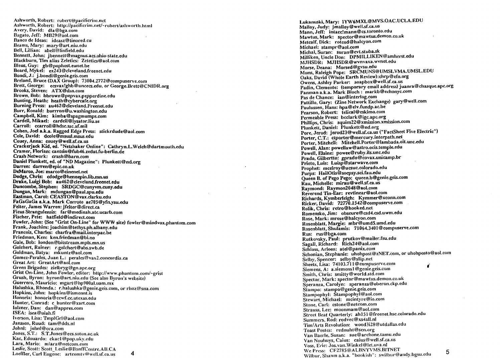Ashworth, Robert: robert@pacificrim.net Ashworth, Robert: http://pacificrim.net/~robert/ashworth.html Avery, David: dla@bga.com Bagato, Jeff: MB29@aol.com Banco de Ideas: ideasz@tinored.cu Beanis, Mary: mary@art.niu.edu Bell, Lillian: abell@linfíeld.edu Bennett, John: **jbennelt@magnus.acs.ohio-state.edu**  Blackburn, Tim alias Zeletics: Zetetics@aol.com Bleus, Guy: gb@pophost.eunet.be Board, Mykel: ex243@cleveland.freenet.edu Bondi, J.: j.bondi@genie.geis.com Breland. Bruce (DAX Group): 73004.2772@compuserve.com Brett, George: ecsvax!ghb@uncecs.edu, or George.Brett@CNIDH.org Brooks, Steven: ATX@dsn.com Brown, Bob: **bbrown@pepvax.pepperdine.edu**  Bunting, Heath: heath@cybercafe.org Burning Press: **au462@cleveland.Freenet.edu**  Burr, Ronald: burrron@u.washington.edu Campbell. Kim: kimbaQspagmumps.com Cardell, Mikael: cardell@lysator.liu.se Carroll: ccarroll@hdscssc.af.mil Cohen, Joel a.k.a. Ragged Edge Press: stickrdude@aol.com Cole. David: dcole@msusl.msus.edu Couey, Anna: couey@wellsf.ca.us Crackerjack Kid, ed. "Netshaker Online": **Cathryn.L.Welch@dartmouth.edu**  Cramer, Florian: cantsin@fub46.zedat.fu-berlin.de Crash Network: crash@barn.com Daniel Plunkett, ed. of "ND Magazine": Plunkett@nd.org Darren: darren@epic.co.uk DeMarco, Joe: marco@cinenet.net Dodge. Chris: cdodge@hennepin.lib.mn.us Drakc, Luigi Bob: **au462@cleveland.freenet.edu**  Duncombe, Stephen: SRDGC@cunyvm.cuny.edu Dungan, Mark: mdungan@pauIspu.edu Eastman, Carol: CEASTON@vax.clarku.edu FaGaGaGa a.k.a. Mark Corroto ae705@yfn.ysu.edu Felter, James Warren: jfelter@direct.ca Ficus Strangulensis: **far@medinah.atc.ucarb.com**  Fischer, Pete: hatfield@indirect.com Fowler, John: (See "Grist On-Line" for WWW site) fowler@mindvox.phantom.com Frank, Joachim: joachim@tethys.ph.albany.edu Francois, Charles: charfra@mail.interpac.be Friedman, Ken: ken.friedman@bi.no Gale. Bob: **london@bitstream.mpls.mn.us**  Golcliert, Rainer: r.golchert@abs.swb.de Goldman, Batya: mkuntz@aol.com Gomez-Perales, Juan L.: perales@vax2.concordia.ca Great Art: GreatArt@aol.com Green Brigades: zielbryg@gn.apc.org Grist On-Line, John Fowler, editor: http://www.phantom.com/~grist Grush, Byron: byron@art.niu.edu (See also Byron's website) Guerrero, Mauricio: mgart@hp900al.uam.mx Halushka, Rhonda.: r.halushka@genie.geis.com, or rhoz@sna.com Hopkins, John: hopkins@ismennt.is IIonoria: **honoria@cc\rf.cc.utexas.edu**  Hunter, Conrad: c-hunter@xart.com lolzner, Dan: dan@appres.coni  $ISEA: is ea$ @uiah.fi lverson, Lisa: TmplGrl@aol.coni Jansscn, Ruud: tam@dds.nl Johnl: johnl@ora.com Jones, S.T.: S.T.Jones@ecs.soton.ac.uk Kac, Edouardo: ekacl @pop.uky.edu Lara, Mario: mlara@netcom.com Leslie, Scott: Scott-Leslie@BanffCentre.AB.CA Loeffler, Carl Eugene: artcomtv@well.sf.ca.us 4

Lukanuski. Mary: **IYW~MXL@MVS.OAC.UCLA.EDU**  Malloy, Judy: jmalloy@well.sf.ca.us hlann, Jeff: **iintacc!mann@cs.toronto.edu**  Mawtus, Mark: **spector@mawtus.demon.co.uk**  Metcalf, Dick: roteod@halcyon.com Michael: stampr@aol.com Miclial, Suran: suran@cvt.stuba.sk Milliken, Uncle Don: DPMILLIKEN@amherst.edu MJHSDR: **MJHSDR@wvnvaxa.wvnet.edu**  Morse, Deana: Morsed@gvsu.edu Muns. Raleigh Pope: SRCMUNS@UMSLVMA.UMSL.EDU Oaks, David (Whole Earth Review):chrp@efn.org Owens, Ashley Parker: soapbox@well.sf.ca.us Padin, Clemente: (temporary email address) juanra@cliasque.apc.org Panman a.k.a. Mark Bloch : markb@echonyc.com Pas de Chance: ian@interlog.com Pattillo, Gary: (Zine Network Exchange) gary@well.com Paulussen, Hans: hpa@elv.fundp.ac.be Pearson, Robert: telical@eskimo.com Permeable Press: bcclark@igc.apc.org Phillips, Chris: squim22@xmission.xmission.com Plunkett, Daniel: Plunkett@nd.org Pore, Jerod: jerod23@well.sf.ca.us ("FactSheet Five Electric") Porter, C.T.: ctporter@mercury.interpath.net Porter. Mitchell: Mitchell.Porter@lambada.oit.unc.edu Powell, Alan: **powellaw@astro.ocis.temple.edu**  Powell, Elaine: powee@ruby.ils.unc.edu Prado, Gilbertto: gprado@covax.unicamp.br Prieto, Luis: Luisp@starwave.com Prophet: mcelroy@ucsuc.colorado.edu Purps: **HailOtis@socpsy.sci.fau.edu**  Queen B. of Pego Pego: queen.b@genie.geis.com Rau, Michelle: mirau@wellsf.ca.us Raymond: Raymon2048@aol.com Reverend Tin-Ear: revtinear@aol.com Richards. Kymberleigh: Kymmer@xconn.com Ricker, David: 72770.1542@compuserve.com Rolik, Chris: retro@hooked.net Romensko, Jim: **obscure@csd4.csd.uwni.edu**  Rose, Mark: mrose@halcyon.com Rosenblatt. Margie: mbr@umdS.urnd.edu Rosenblatt, Shulamb: 71064.3401 @compuserve.com Rus: rus@bga.com Rutkovsky, Paul: prutkov@maiier.fsu.edu Sagall, Richard: Rich24@aol.com Schloss, Arleen: atel@panix.com Sclionian. Stephanie: uholipost@zNET.com. or uliohposto@aol.com Selby, Spencer: selby@slip.net Sheets, Lisa: 74103.711@compuserve.com Siemens, A: asiemensl @genie.geis.coni **i**  Smith, Chris: smitty@world.std.com Spector, Mark: spector@mawtus.demon.co.uk Speranza, Carolyn: speranza@oberon.ckp.edu Stampo: stampo@genie.geis.com Stampophyl: Stampophyi@aol.com Stewart, Michael: mcintyre@io.com Stone, Carl: cstone@netcom.com Strauss, Lee: moonmam@aol.com Street Beat Quarterly: ah151 **@freenet.lisc.colorado.edu**  Sunimers, Rod: rodvec@xs4all.nl Tini/Arts Revolution: wood3i28@utdallas.edu Toast Postes: rednuht@scn.org Van Baerle, Susan: sue@arclione.tamu.edu Van Nouhuys, Caius: caius@well.sf.ca.us Voss. Eric: **Jos.vari.Wiiikel@let.uva.nl**  We Press: CF2785@ALBNYVMS.BITNET We Press: CF2785@ALBNYVMS.BITNET<br>Wilbur, Shawn a.k.a. "bookish": swilbur@andy.bgsu.edu *5*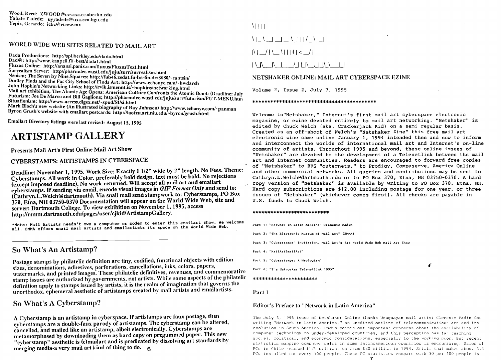## WORLD WIDE WEB SITES RELATED TO MAIL ART

Dada Productions: http://spl.berkley.edu/dada.html Dad@: http://www.kaapeli.fi/~best/dada1.html Fluxus Online: http://anansi.panix.com/fluxus/FluxusText.html Surrealism Server: http//pharmdec.wustl.edu/juju/surr/surrealism.html Neoism; The Seven by Nine Squares: http://fub46.zedat.fu-berlin.de:8080/~cantsin/ Dudley Finds and the Fat City School of Finds Art: http://www.echonyc.com/~hwdarch John Hopkin's Networking Links: http://rvik.ismennt.is/~hopkins/networking.html Mail art exhibition, The Atomic Age Opens: American Culture Confronts the Atomic Bomb (Deadline: July Futurism: Joe De Marco and Bill Gaglione; http://pharmdec.wustl.edu/juju/surr/futurism/FUT-MENU.htm Situationism: http://www.access.digex.net/~spud/SI/si.html Mark Bloch's new website (An illustrated biography of Ray Johnson) http://www.echonyc.com/~panman Byron Grush's website with emailart postcards: http://laotzu.art.niu.edu/~byron/grush.html

Emailart Directory listings were last revised: August 15, 1995

## **ARTISTAMP GALLERY**

Presents Mail Art's First Online Mail Art Show

## CYBERSTAMPS: ARTISTAMPS IN CYBERSPACE

Deadline: November 1, 1995. Work Size: Exactly 1 1/2" wide by 2" length. No Fees. Theme: Cyberstamps. All work in Color, preferably bold design, text must be bold. No rejections (except imposed deadline). No work returned. Will accept all mail art and emailart cyberstamps. If sending via email, encode visual images in GIF Format Only and send to: (Cathryn.L.Welch@dartmouth). Via snail mail send stampwork to: Cyberstamps, PO Box 370, Etna, NH 03750-0370 Documentation will appear on the World Wide Web. site and server: Dartmouth College. To view exhibition on November 1. 1995. access http://mmm.dartmouth.edu/pages/user/cjkid/ArtistampGallery.

\*Note: Mail Artists needn't own a computer or modem to enter this emailart show. We welcome<br>all. EMMA offers snail mail artists and emailartists its space on the World Wide Web.

## So What's An Artistamp?

Postage stamps by philatelic definition are tiny, codified, functional objects with edition sizes, denominations, adhesives, perforations, cancellations, inks, colors, papers, watermarks, and printed images. These philatelic definitives, revenues, and commemorative stamp issues are authorized by governments, not artists. While some aspects of the philatelic definition apply to stamps issued by artists, it is the realm of imagination that governs the unorthodox, ephemeral aesthetic of artistamps created by mail artists and emailartists.

So What's A Cyberstamp?

A Cyberstamp is an artistamp in cyberspace. If artistamps are faux postage, then cyberstamps are a double-faux parody of artistamps. The cyberstamp can be altered, cancelled, and mailed like an artistamp, albeit electronically. Cyberstamps are metamorphosed by downloading them as hard copy on pregummed paper. This new "cyberstamp" aesthetic is (e)mailart and is predicated by dissolving art standards by merging media-a very mail art kind of thing to do. 6

**MILL** 

 $\mathcal{N}[\mathcal{N}_{\text{max}}]=\mathcal{N}_{\text{max}}\left[\mathcal{N}_{\text{max}}\right]$ 

 $\begin{array}{c|c|c|c|c|c} \hline \text{M} & \text{M} & \text{M} & \text{M} & \text{M} & \text{M} \\ \hline \end{array}$ 

## 

#### NETSHAKER ONLINE: MAIL ART CYBERSPACE EZINE

Volume 2, Issue 2, July 7, 1995

#### 

Welcome to"Netshaker," Internet's first mail art cyberspace electronic magazine, or ezine devoted entirely to mail art networking. "Netshaker" is edited by Chuck Welch (aka. Crackeriack Kid) on a semi-regular basis. Created as an off-shoot of Welch's "Netshaker Zine" this free mail art electronic zine came online January 1. 1994 intended then and now to inform and interconnect the worlds of international mail art and Internet's on-line community of artists. Throughout 1995 and beyond, these online issues of "Netshaker" are devoted to the development of a Telenetlink between the mail art and Internet communities. Readers are encouraged to forward free copies of "Netshaker" to BBS "outernets," to Prodigy, Compuserve, America Online and other commercial networks. All queries and contributions may be sent to Cathryn.L.Welch@dartmouth.edu or to PO Box 370, Etna, NH 03750-0370. A hard copy version of "Netshaker" is available by writing to PO Box 370, Etna, NH. Hard copy subscriptions are \$12.00 including postage for one year, or three issues of "Netshaker" (whichever comes first). All checks are payable in U.S. funds to Chuck Welch.

#### \*\*\*\*\*\*\*\*\*\*\*\*\*\*\*\*\*\*\*\*\*\*\*\*\*\*

Part 1: "Network in Latin America" Clemente Padin

Part 2: "The Electronic Museum of Mail Art" (EMMA)

Part 3: "Cyberstamps" Invitation, Mail Art's 1st World Wide Web Mail Art Show

Part 4: "MailärtFmailärt"

Part 5: "Cyberstamps: A Neologism"

Part 6: "The Networker Telenetlink 1995"

#### \*\*\*\*\*\*\*\*\*\*\*\*\*\*\*\*\*\*\*\*\*\*

Part 1

#### **Editor's Preface to "Network in Latin America"**

The July 3, 1995 issue of Netshaker Online thanks Uruguayan mail artist Clemente Padin for writing "Network in Latin America," an unedited outline of telecommunications art and its evolution in South America. Padin points out important concerns about the availability of computer technology to under-developed countries, and this perception has far reaching social, political, and economic considerations, especially to the working poor. But recent statistics mapping computer sales in some latinoamerican countries is encouraging. Sales of PCs in Chile reached \$175 million, up from \$20 million in 1994. Still, that makes about 3.3 PCs installed for every 100 people. These PC statistics compare with 30 per 100 people in

£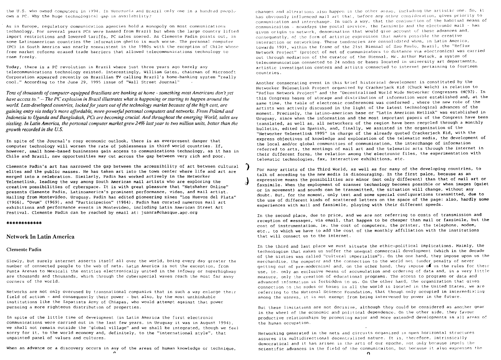the U.S. who owned computers in 1994. In Venezuela and Brazil only one in a hundred people own a PC. Why the huge technological gap in availability?

As in Europe, regulatory communication agencies hold a monopoly on most communications technology. For several years PCs were banned from Brazil but when the large country lifted import restrictions and lowered tariffs. PC sales soared. As Clemente Padin points out. in some Latinoamerican countries the information ghetto is much worse. The personal computer (PC) in South America was nearly nonexistent in the 1980s with the exception of Chile whose free market reforms erased trade barriers that allowed telecommunications technology to roam freely.

Today, there is a PC revolution in Brazil where just three years ago barely any telecommunications technology existed. Interestingly, William Gates, chairman of Microsoft Corporation appeared recently on Brazilian TV calling Brazil's home-banking system "really cool." According to the June 29, 1995 issue of "Wall Street Journal"

Tens of thousands of computer-equipped Brazilians are banking at home - something most Americans don't yet have access to." -- The PC explosion in Brazil illustrates what is happening or starting to happen around the world. Less-developed countries, locked for years out of the technology market because of the high cost, are gaining entry via today's more affordable, more-powerful personal computers and networks. From Poland and Indonesia to Uganda and Bangladesh, PCs are becoming crucial. And throughout the emerging World, sales are sizzling. In Latin America, the personal computer market grew 24% last year to two million units, better than the growth recorded in the  $U.S.$ 

In spite of the Journal's rosy economic outlook, there is an everpresent danger that computer technology will worsen the rate of joblessness in third world countries. If, however, small home-based businesses gain access to communications technology, as it has in Chile and Brazil, new opportunities may cut across the gap between very rich and poor.

Clemente Padin's art has narrowed the gap between the accessibility of art between cultural elites and the public masses. He has taken art into the town center where life and art are merged into a celebration. Similarly, Padin has worked actively in the Networker Telenetlink, leading the way among South American mail artists who are exploring the creative possibilities of cyberspace. It is with great pleasure that "Netshaker Online" presents Clemente Padin, Latinoamerica's prominent performance, video, and mail artist. Hailing from Montevideo, Uruguay, Padin has edited pioneering zines "Los Hueyos del Plata" (1966), "Ovum" (1969), and "Participacion" (1984). Padin has curated numerous mail art exhibitions and performance events in Montevideo, including Latin American Street Art Festival. Clemente Padin can be reached by email at: juanra@chasque.apc.org

#### \*\*\*\*\*\*\*\*\*\*\*\*

#### **Network In Latin America**

#### **Clemente Padin**

Slowly, but surely internet asserts itself all over the world, being every day greater the number of connected people to the web of nets. Latin America is not the exception, from Punta Arenas to Mexicali the entities electronically united in the infoway or superhighway are thousands and thousands, which through the cyberspecial waves reach the most far away corners of the world.

Networks are not only overused by transnational companies that in such a way enlarge their field of action - and consequently their power - but also, by the most unthinkable institutions like the Zapatists Army of Chiapas, who would attempt against that power pursuing a more righteous distribution of properties.

In spite of the little time of development (in Latin America the first electronic communications were carried out in the last few years, in Uruguay it was in August 1994), we shall not remain outside the "global village" and we shall be integrated, though we feel sorry for it, to the world economy and, definitely, to the "international style", that unpainted panel of values and cultures.

When an advance or a discovery occurs in any of the areas of human knowledge or technique,

changes and alterations also happen in the other areas, including the artistic one. So, it has obviously influenced mail art that, before any other consideration, gives priority to communication and interchange. In such a way, that the conjunction of the habitual means of communicaiton - nowadays the postal service, the faxsimile and the electronic mail - has given origin to network, denomination that would give account of these advances and, consequently, of the form of artistic expression that makes possible the creative interaction or networking. These tendencies are consolidated when, in Latin America. towards 1991, within the frame of the 21st Biennal of Sao Paulo, Brazil, the "Reflux Network Project" (project of net of communicators to distance via electronics) was carried out through mediation of the curator of the Biennal, Mr. Arthur Matuck, a system of telecommunication connected to 24 nodes or bases located in university art departments, artistic investigation centers and artists connected to internet pertaining to fourteen countries

Another consecrating event in this brief historical development is constituted by the Networker Telenetlink Project organized by Crackerjack Kid (Chuck Welch) in relation to "Reflux Network Project" and the "Decentralized World Wide Networker Congresses (NC92). In this Congress bases of storage and distribution of information were established and, at the same time, the table of electronic conferences was conformed, where the new role of the artists was actively discussed in the light of the latest technological advances of the moment. Precisely, the latino-american base or "Latin American Netlink" was established in Uruguay, since when the information and the most important papers of the Congress have been translated, as well as, all networkers of the region have been recycled through a monthly bulletin, edited in Spanish, and, finally, we assisted in the organization of the "Networker Telenetlink 1995" in charge of the already quoted Crackerjack Kid, with the express objectives of knowledge and exploration of the telematic media, the development of the local and/or global communities of communication, the interchange of information referred to arts, the meetings of mail art and the telematic arts through the internet in their different forms, the relation among the electronic files, the experimentation with telematic technologies, fax, interactive exhibitions, etc.

For many artists of the Third World, as well as for many of the developing countries, to talk of acceding to the new media is discouraging. In the first palce, because as an expressive means the possibilities are minor (not only different) than that of mail art or faxsimile. When the employment of scanner technology becomes possible or when images (quiet or in movement) and sounds can be transmitted, the situation will change, without any doubt. But, for the moment, only text and some special configurations transmitted, due to the use of different kinds of scattered letters on the space of the page: also, hardly some experiences with mail and faxsimile, playing with their different speeds.

In the second place, due to price, and we are not referring to costs of transmission and reception of messages, via email, that happen to be cheaper than mail or faxsimile, but the cost of instrumentation, ie. the cost of computers, the printer, the telephone, modem, etc.. to which we have to add the cost of the monthly affiliation with the institutions that will connect us to the internet.

In the third and last place we must situate the ethic-political implications. Mainly, the technologism that makes us suffer the unequal commercail development (which in the decade of the sixties was called "cultural imperialism"). On the one hand, they impose upon us the merchandise, the computer and the connection to the world net (under penalty of never getting out of pre-modernism) and, on the other hand, they impose of us the rules for their use, ie. only an exclusive means of accumulation and ordering of data and, in a very little measure, only the creation of educational programs. The access to programs or data and advanced information is forbidden to us. On the other hand, the organization that gives connection to the nodes or bases in all the world is located in the United States, we are referring to the National Science Foundation, that though only occupied in intermediating among the useres, it is not exempt from being intervened by power in the future.

But these limitations are not decisive, although they could be considered as another gear in the wheel of the economic and political dependence. On the other side, they favour productive relationships by promoting major and more extended developments in all areas of the human occupation.

Networking generated in the nets and circuits organized in open horizontal structures assures its multidirectional decentralized nature. It is, therefore, intrinsically democratical and it has arisen in the arts of our epoche, not only because impels the scientific advances in the field of the communicaiton, but because it also expresses the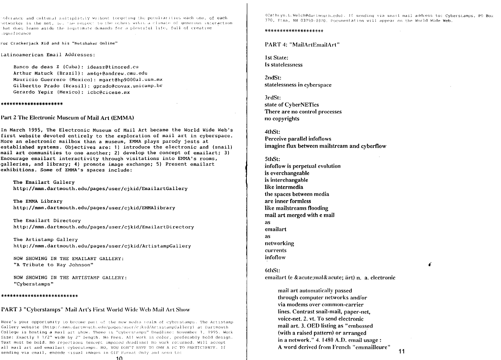olerance and cultural sultiplicity without forgeting the peculiarities each one, of each hetworker in the net, ie. the respect to the others wihin a climate of generous interaction that does leave aside the legitimate demands for a plentiful life, full of creative a qualificance

For Crackeriack Kid and his "Netshaker Online"

Latinoamerican Email Addresses:

Banco de deas Z (Cuba): ideasz@tinored.cu Arthur Matuck (Brazil): am4q+@andrew.cmu.edu Mauricio Guerrero (Mexico): mgart@hp9000al.usm.mx Gilbertto Prado (Brasil): gprado@covax.unicamp.br Gerardo Yepiz (Mexico): icbc@cicese.mx

#### \*\*\*\*\*\*\*\*\*\*\*\*\*\*\*\*\*\*\*\*\*

Part 2 The Electronic Museum of Mail Art (EMMA)

In March 1995, The Electronic Museum of Mail Art became the World Wide Web's first website devoted entirely to the exploration of mail art in cyberspace. More an electronic mailbox than a museum, EMMA plays parody jests at established systems. Objectives are: 1) introduce the electronic and (snail) mail art communities to one another; 2) develop the concept of emailart; 3) Encourage emailart interactivity through visitations into EMMA's rooms, galleries, and library: 4) promote image exchange: 5) Present emailart exhibitions. Some of EMMA's spaces include:

The Emailart Gallery http://mmm.dartmouth.edu/pages/user/cjkid/EmailartGallery

The EMMA Library http://mmm.dartmouth.edu/pages/user/cjkid/EMMAlibrary

The Emailart Directory http://mmm.dartmouth.edu/pages/user/cjkid/EmailartDirectory

The Artistamp Gallery http://mmm.dartmouth.edu/pages/user/cjkid/ArtistampGallery

NOW SHOWING IN THE EMAILART GALLERY: "A Tribute to Ray Johnson"

NOW SHOWING IN THE ARTISTAMP GALLERY: "Cyberstamps"

#### \*\*\*\*\*\*\*\*\*\*\*\*\*\*\*\*\*\*\*\*\*\*\*\*\*\*

#### **PART 3 "Cyberstamps" Mail Art's First World Wide Web Mail Art Show**

Here's your opportunity to become part of the new media realm of cyberstamps. The Artistamp Gallery website (http://mmm.dartmouth.edu/pages/user/cjkid/ArtistampGallery) at Dartmouth College is hosting a mail art show. Theme is "cyberstamps" Deadline: November 1, 1995. Work Size: Exactly 1 1/2" wide by 2" length. No Fees. All work in color, preferably bold design. Text must be bold. No rejections (except imposed deadline) No work returned. Will accept all mail art and emailart cyberstamps. NO, YOU DON'T HAVE TO OWN A PC TO PARTICIPATE. If sending via email, encode visual images in GIF Format Only and send to:

(Cathryn.L.Welch@dartmouth.edu). If sending via snail mail address to: Cyberstamps, PO Box 370, Etna, NH 03750-0370, Documentation will appear on the World Wide Web.

#### \*\*\*\*\*\*\*\*\*\*\*\*\*\*\*\*\*\*\*\*

PART 4: "MailArtEmailArt"

**1st State:** Is statelessness

 $2ndSt:$ statelessness in cyberspace

3rdSt: state of CyberNETics There are no control processes no copyrights

4thSt: Perceive parallel infoflows imagine flux between mailstream and cyberflow

5thSt: infoflow is perpetual evolution is everchangeable is interchangable like intermedia the spaces between media are inner formless like mailstreams flooding mail art merged with e mail as emailart **as** networking currents infoflow

6thSt: emailart (e & acute; mal& acute; ärt) n. a. electronic

mail art automatically passed through computer networks and/or via modems over common-carrier lines. Contrast snail-mail, paper-net, voice-net, 2, vt. To send electronic mail art. 3. OED listing as "embossed (with a raised pattern) or arranged in a network." 4. 1480 A.D. email usage: A word derived from French "emmailleure"

 $11$ 

Á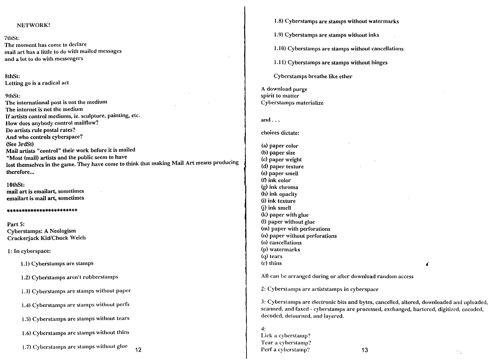## NETWORK!

7thSt: The moment has come to declare mail art has a little to do with mailed messages and a lot to do with messengers

8thSt: Letting go is a radical act

#### 9thSt:

The international post is not the medium The internet is not the medium If artists control mediums, ie. sculpture, painting, etc. How does anybody control mailflow? Do artists rule postal rates? And who controls cyberspace? (See 3rdSt) Mail artists "control" their work before it is mailed "Most (mail) artists and the public seem to have lost themselves in the game. They have come to think that making Mail Art means producing therefore...

10thSt: mail art is emailart, sometimes emailart is mail art, sometimes

#### \*\*\*\*\*\*\*\*\*\*\*\*\*\*\*\*\*\*\*\*\*\*\*\*

Part 5: **Cyberstamps: A Neologism** Crackerjack Kid/Chuck Welch

1: In cyberspace:

1.1) Cyberstamps are stamps

1.2) Cyberstamps aren't rubberstamps

1.3) Cyberstamps are stamps without paper

1.4) Cyberstamps are stamps without perfs

1.5) Cyberstamps are stamps without tears

1.6) Cyberstamps are stamps without thins

1.7) Cyberstamps are stamps without glue  $12$  1.8) Cyberstamps are stamps without watermarks

1.9) Cyberstamps are stamps without inks

1.10) Cyberstamps are stamps without cancellations

1.11) Cyberstamps are stamps without hinges

Cyberstamps breathe like ether

A download purge spirit to matter Cyberstamps materialize

and  $\ldots$ 

choices dictate:

(a) paper color (b) paper size (c) paper weight (d) paper texture (e) paper smell  $(f)$  ink color  $(q)$  ink chroma (h) ink opacity (i) ink texture (i) ink smell (k) paper with glue (l) paper without glue (m) paper with perforations (n) paper without perforations (o) cancellations (p) watermarks  $(q)$  tears (r) thins

All can be arranged during or after download random access

2: Cyberstamps are artiststamps in cyberspace

3: Cyberstamps are electronic bits and bytes, cancelled, altered, downloaded and uploaded, scanned, and faxed - cyberstamps are processed, exchanged, bartered, digitized, encoded, decoded, detourned, and layered.

 $4:$ Lick a cyberstamp? Tear a cyberstamp? Perf a cyberstamp?

π,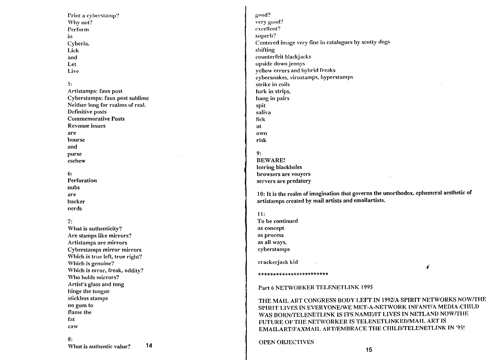Print a cyberstamp? Why not? Perform in. Cyberia. Lick and Let

Live

 $5:$ Artistamps: faux post Cyberstamps: faux post sublime Neither long for realms of real. Definitive posts **Commemorative Posts** Revenue issues are bourse and purse eschew

#### $6:$

Perforation nubs are hacker nerds

### $7:$

What is authenticity? Are stamps like mirrors? Artistamps are mirrors Cyberstamps mirror mirrors Which is true left, true right? Which is genuine? Which is error, freak, oddity? Who holds mirrors? Artist's glass and tong hinge the tongue stickless stamps no gum to flame the fat caw  $8:$ 

14 What is authentic value?

good? very good? excellent? superb? Centered image very fine in catalogues by scotty dogs shifting counterfeit blackjacks upside down jennys vellow errors and hybrid freaks cybersnakes, virustamps, hyperstamps strike in coils lurk in strips. hang in pairs spit saliva lick at own risk  $9:$ **BEWARE!** leering blackholes browsers are vouyers

10: It is the realm of imagination that governs the unorthodox, ephemeral aesthetic of artistamps created by mail artists and emailartists.

 $11:$ To be continued

as concept as process as all ways, cyberstamps

servers are predatory

crackerjack kid

\*\*\*\*\*\*\*\*\*\*\*\*\*\*\*\*\*\*\*\*\*\*\*\*

£

Part 6 NETWORKER TELENETLINK 1995

THE MAIL ART CONGRESS BODY LEFT IN 1992/A SPIRIT NETWORKS NOW/THE SPIRIT LIVES IN EVERYONE/WE MET-A-NETWORK INFANT/A MEDIA-CHILD WAS BORN/TELENETLINK IS ITS NAME/IT LIVES IN NETLAND NOW/THE FUTURE OF THE NETWORKER IS TELENETLINKED/MAIL ART IS EMAILART/FAXMAIL ART/EMBRACE THE CHILD/TELENETLINK IN '95!

#### **OPEN OBJECTIVES**